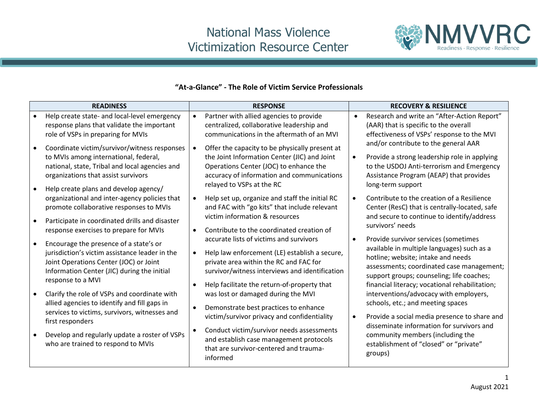## National Mass Violence Victimization Resource Center



## **"At-a-Glance" - The Role of Victim Service Professionals**

|           | <b>READINESS</b>                                                                                                                                                                                                        |           | <b>RESPONSE</b>                                                                                                                                                                                                                     |           | <b>RECOVERY &amp; RESILIENCE</b>                                                                                                                                                                                                                                     |
|-----------|-------------------------------------------------------------------------------------------------------------------------------------------------------------------------------------------------------------------------|-----------|-------------------------------------------------------------------------------------------------------------------------------------------------------------------------------------------------------------------------------------|-----------|----------------------------------------------------------------------------------------------------------------------------------------------------------------------------------------------------------------------------------------------------------------------|
| $\bullet$ | Help create state- and local-level emergency<br>response plans that validate the important<br>role of VSPs in preparing for MVIs                                                                                        |           | Partner with allied agencies to provide<br>centralized, collaborative leadership and<br>communications in the aftermath of an MVI                                                                                                   |           | Research and write an "After-Action Report"<br>(AAR) that is specific to the overall<br>effectiveness of VSPs' response to the MVI<br>and/or contribute to the general AAR                                                                                           |
| $\bullet$ | Coordinate victim/survivor/witness responses<br>to MVIs among international, federal,<br>national, state, Tribal and local agencies and<br>organizations that assist survivors<br>Help create plans and develop agency/ |           | Offer the capacity to be physically present at<br>the Joint Information Center (JIC) and Joint<br>Operations Center (JOC) to enhance the<br>accuracy of information and communications<br>relayed to VSPs at the RC                 |           | Provide a strong leadership role in applying<br>to the USDOJ Anti-terrorism and Emergency<br>Assistance Program (AEAP) that provides<br>long-term support                                                                                                            |
| $\bullet$ | organizational and inter-agency policies that<br>promote collaborative responses to MVIs<br>Participate in coordinated drills and disaster<br>response exercises to prepare for MVIs                                    | $\bullet$ | Help set up, organize and staff the initial RC<br>and FAC with "go kits" that include relevant<br>victim information & resources<br>Contribute to the coordinated creation of                                                       |           | Contribute to the creation of a Resilience<br>Center (ResC) that is centrally-located, safe<br>and secure to continue to identify/address<br>survivors' needs                                                                                                        |
| $\bullet$ | Encourage the presence of a state's or<br>jurisdiction's victim assistance leader in the<br>Joint Operations Center (JOC) or Joint<br>Information Center (JIC) during the initial<br>response to a MVI                  | $\bullet$ | accurate lists of victims and survivors<br>Help law enforcement (LE) establish a secure,<br>private area within the RC and FAC for<br>survivor/witness interviews and identification<br>Help facilitate the return-of-property that | $\bullet$ | Provide survivor services (sometimes<br>available in multiple languages) such as a<br>hotline; website; intake and needs<br>assessments; coordinated case management;<br>support groups; counseling; life coaches;<br>financial literacy; vocational rehabilitation; |
| $\bullet$ | Clarify the role of VSPs and coordinate with<br>allied agencies to identify and fill gaps in<br>services to victims, survivors, witnesses and<br>first responders                                                       |           | was lost or damaged during the MVI<br>Demonstrate best practices to enhance<br>victim/survivor privacy and confidentiality                                                                                                          |           | interventions/advocacy with employers,<br>schools, etc.; and meeting spaces<br>Provide a social media presence to share and<br>disseminate information for survivors and                                                                                             |
|           | Develop and regularly update a roster of VSPs<br>who are trained to respond to MVIs                                                                                                                                     |           | Conduct victim/survivor needs assessments<br>and establish case management protocols<br>that are survivor-centered and trauma-<br>informed                                                                                          |           | community members (including the<br>establishment of "closed" or "private"<br>groups)                                                                                                                                                                                |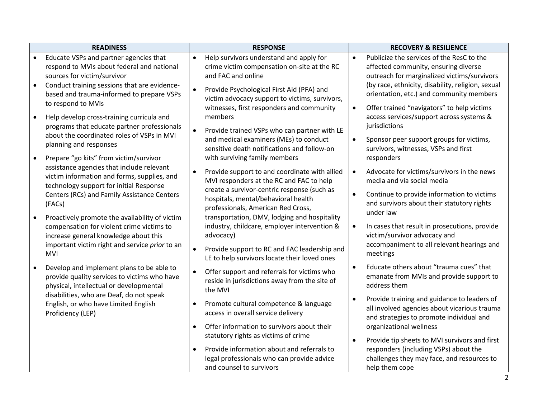|           | <b>READINESS</b>                                                                                                                     |           | <b>RESPONSE</b>                                                                                                                          |           | <b>RECOVERY &amp; RESILIENCE</b>                                                                                                            |
|-----------|--------------------------------------------------------------------------------------------------------------------------------------|-----------|------------------------------------------------------------------------------------------------------------------------------------------|-----------|---------------------------------------------------------------------------------------------------------------------------------------------|
|           | Educate VSPs and partner agencies that<br>respond to MVIs about federal and national<br>sources for victim/survivor                  | $\bullet$ | Help survivors understand and apply for<br>crime victim compensation on-site at the RC<br>and FAC and online                             | $\bullet$ | Publicize the services of the ResC to the<br>affected community, ensuring diverse<br>outreach for marginalized victims/survivors            |
| $\bullet$ | Conduct training sessions that are evidence-<br>based and trauma-informed to prepare VSPs<br>to respond to MVIs                      |           | Provide Psychological First Aid (PFA) and<br>victim advocacy support to victims, survivors,<br>witnesses, first responders and community | $\bullet$ | (by race, ethnicity, disability, religion, sexual<br>orientation, etc.) and community members<br>Offer trained "navigators" to help victims |
| $\bullet$ | Help develop cross-training curricula and<br>programs that educate partner professionals                                             |           | members<br>Provide trained VSPs who can partner with LE                                                                                  |           | access services/support across systems &<br>jurisdictions                                                                                   |
| $\bullet$ | about the coordinated roles of VSPs in MVI<br>planning and responses<br>Prepare "go kits" from victim/survivor                       |           | and medical examiners (MEs) to conduct<br>sensitive death notifications and follow-on<br>with surviving family members                   |           | Sponsor peer support groups for victims,<br>survivors, witnesses, VSPs and first<br>responders                                              |
|           | assistance agencies that include relevant<br>victim information and forms, supplies, and<br>technology support for initial Response  | $\bullet$ | Provide support to and coordinate with allied<br>MVI responders at the RC and FAC to help                                                | $\bullet$ | Advocate for victims/survivors in the news<br>media and via social media                                                                    |
|           | Centers (RCs) and Family Assistance Centers<br>(FACs)                                                                                |           | create a survivor-centric response (such as<br>hospitals, mental/behavioral health<br>professionals, American Red Cross,                 | $\bullet$ | Continue to provide information to victims<br>and survivors about their statutory rights<br>under law                                       |
|           | Proactively promote the availability of victim<br>compensation for violent crime victims to<br>increase general knowledge about this |           | transportation, DMV, lodging and hospitality<br>industry, childcare, employer intervention &<br>advocacy)                                |           | In cases that result in prosecutions, provide<br>victim/survivor advocacy and                                                               |
|           | important victim right and service prior to an<br>MVI                                                                                |           | Provide support to RC and FAC leadership and<br>LE to help survivors locate their loved ones                                             |           | accompaniment to all relevant hearings and<br>meetings                                                                                      |
| $\bullet$ | Develop and implement plans to be able to<br>provide quality services to victims who have<br>physical, intellectual or developmental |           | Offer support and referrals for victims who<br>reside in jurisdictions away from the site of<br>the MVI                                  |           | Educate others about "trauma cues" that<br>emanate from MVIs and provide support to<br>address them                                         |
|           | disabilities, who are Deaf, do not speak<br>English, or who have Limited English<br>Proficiency (LEP)                                |           | Promote cultural competence & language<br>access in overall service delivery                                                             |           | Provide training and guidance to leaders of<br>all involved agencies about vicarious trauma<br>and strategies to promote individual and     |
|           |                                                                                                                                      | $\bullet$ | Offer information to survivors about their<br>statutory rights as victims of crime                                                       |           | organizational wellness                                                                                                                     |
|           |                                                                                                                                      |           | Provide information about and referrals to                                                                                               | $\bullet$ | Provide tip sheets to MVI survivors and first<br>responders (including VSPs) about the                                                      |
|           |                                                                                                                                      |           | legal professionals who can provide advice<br>and counsel to survivors                                                                   |           | challenges they may face, and resources to<br>help them cope                                                                                |